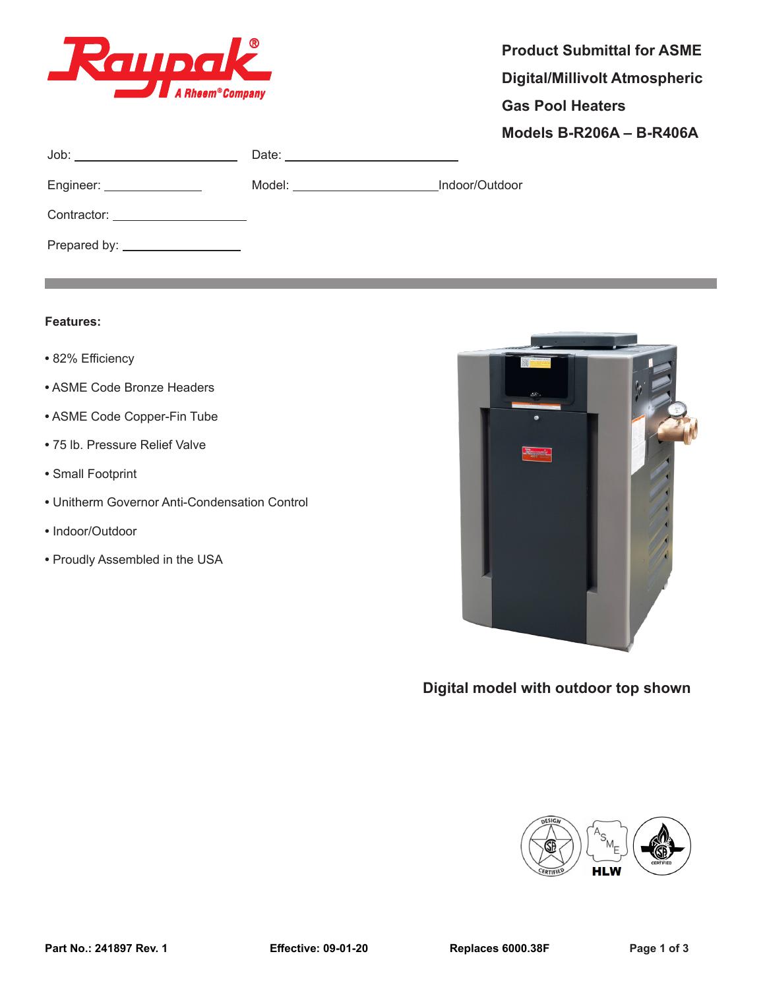

Job: Date:

the control of the control of the control of the control of the control of the control of

Contractor:

Prepared by:

Engineer: Model: Indoor/Outdoor

| <b>Product Submittal for ASME</b> |
|-----------------------------------|
| Digital/Millivolt Atmospheric     |
| <b>Gas Pool Heaters</b>           |
| <b>Models B-R206A - B-R406A</b>   |
|                                   |

## **Features:**

- **•** 82% Efficiency
- **•** ASME Code Bronze Headers
- **•** ASME Code Copper-Fin Tube
- **•** 75 lb. Pressure Relief Valve
- **•** Small Footprint
- **•** Unitherm Governor Anti-Condensation Control
- **•** Indoor/Outdoor
- **•** Proudly Assembled in the USA



**Digital model with outdoor top shown**

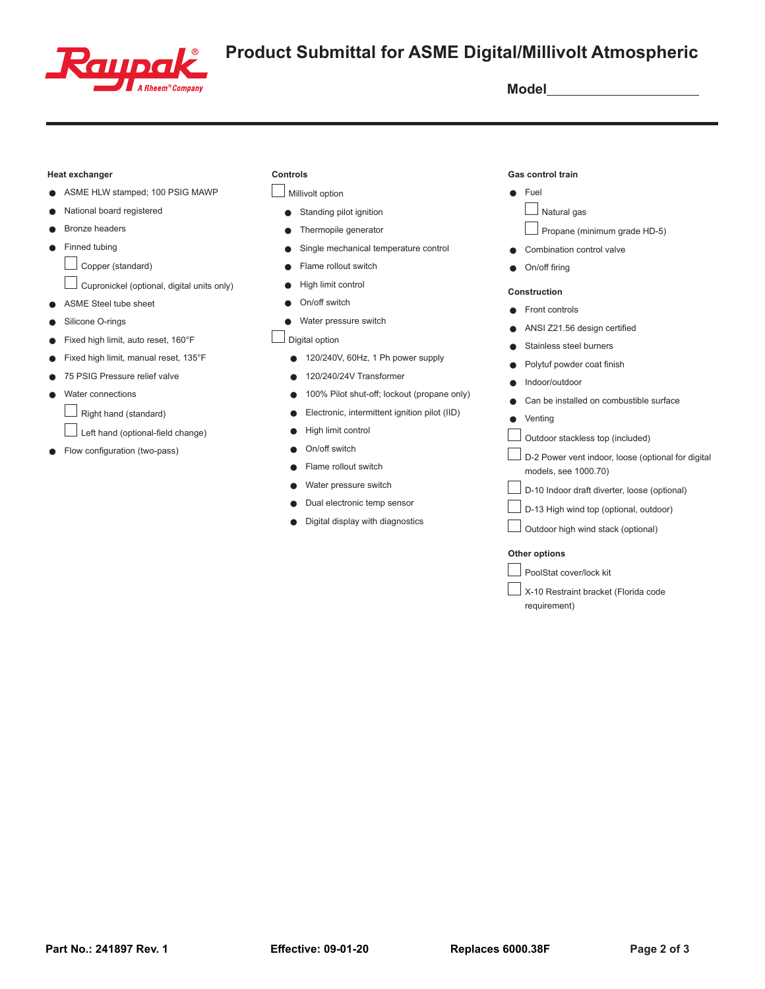

# **GILIDGIC** Product Submittal for ASME Digital/Millivolt Atmospheric

#### **Heat exchanger**

- ASME HLW stamped; 100 PSIG MAWP
- National board registered
- Bronze headers
- Finned tubing

 $\Box$  Copper (standard)

- $\Box$  Cupronickel (optional, digital units only)
- ASME Steel tube sheet
- Silicone O-rings
- Fixed high limit, auto reset, 160°F
- Fixed high limit, manual reset, 135°F
- 75 PSIG Pressure relief valve
- Water connections
	- $\Box$  Right hand (standard)
	- L  $\Box$  Left hand (optional-field change)
- Flow configuration (two-pass)

### **Controls**

## Millivolt option

- Standing pilot ignition
- Thermopile generator
- Single mechanical temperature control
- Flame rollout switch
- High limit control
- On/off switch
- Water pressure switch

 $\Box$  Digital option

- 120/240V, 60Hz, 1 Ph power supply
- 120/240/24V Transformer
- 100% Pilot shut-off; lockout (propane only)
- Electronic, intermittent ignition pilot (IID)
- High limit control
- Q On/off switch
- Flame rollout switch
- Water pressure switch
- Dual electronic temp sensor
- Digital display with diagnostics

#### **Gas control train**

- $\bullet$  Fuel
	- **Natural gas**
	- Propane (minimum grade HD-5)
- Combination control valve
- $\bullet$  On/off firing

### **Construction**

- Front controls
- ANSI Z21.56 design certified
- Stainless steel burners
- Polytuf powder coat finish
- Indoor/outdoor
- Can be installed on combustible surface
- Venting
- $\Box$  Outdoor stackless top (included)
- $\Box$  D-2 Power vent indoor, loose (optional for digital models, see 1000.70)
- $\Box$  D-10 Indoor draft diverter, loose (optional)
- $\Box$  D-13 High wind top (optional, outdoor)
- $\Box$  Outdoor high wind stack (optional)

#### **Other options**

PoolStat cover/lock kit

X-10 Restraint bracket (Florida code requirement)